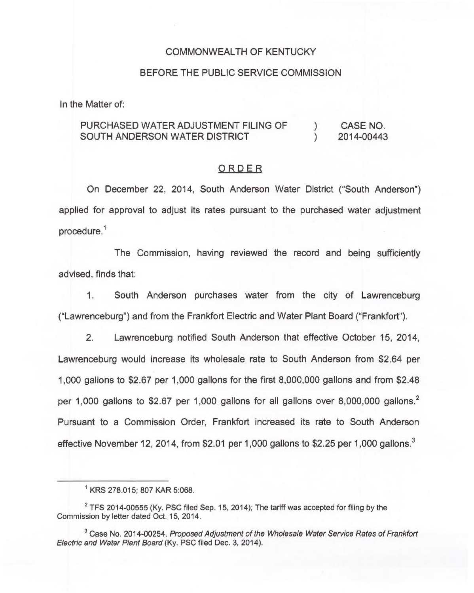### COMMONWEALTH OF KENTUCKY

### BEFORE THE PUBLIC SERVICE COMMISSION

In the Matter of:

#### PURCHASED WATER ADJUSTMENT FILING OF SOUTH ANDERSON WATER DISTRICT ) CASE NO.<br>1 2014-00443 ) 2014-00443

### ORDER

On December 22, 2014, South Anderson Water District ("South Anderson") applied for approval to adjust its rates pursuant to the purchased water adjustment procedure."

The Commission, having reviewed the record and being sufficiently advised, finds that:

1. South Anderson purchases water from the city of Lawrenceburg ("Lawrenceburg") and from the Frankfort Electric and Water Plant Board ("Frankfort" ).

2. Lawrenceburg notified South Anderson that effective October 15, 2014, Lawrenceburg would increase its wholesale rate to South Anderson from \$2.64 per 1,000 gallons to \$2.67 per 1,000 gallons for the first 8,000,000 gallons and from \$2.48 per 1,000 gallons to \$2.67 per 1,000 gallons for all gallons over 8,000,000 gallons.<sup>2</sup> Pursuant to a Commission Order, Frankfort increased its rate to South Anderson effective November 12, 2014, from \$2.01 per 1,000 gallons to \$2.25 per 1,000 gallons.<sup>3</sup>

KRS 278.015; 807 KAR 5:068.

 $2$  TFS 2014-00555 (Ky. PSC filed Sep. 15, 2014); The tariff was accepted for filing by the Commission by letter dated Oct. 15, 2014.

 $3$  Case No. 2014-00254, Proposed Adjustment of the Wholesale Water Service Rates of Frankfort Electric and Wafer Plant Board (Ky. PSC filed Dec. 3, 2014).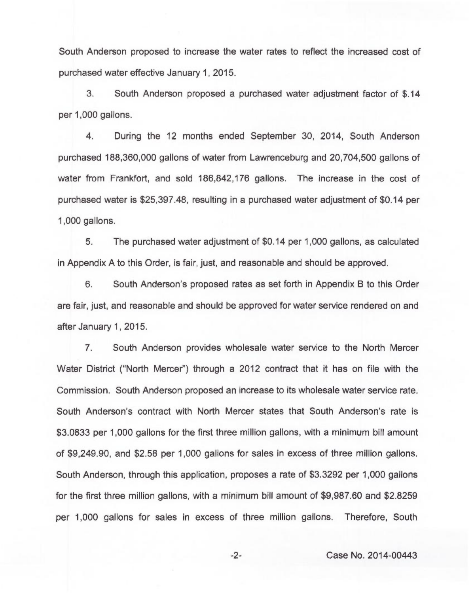South Anderson proposed to increase the water rates to reflect the increased cost of purchased water effective January 1, 2015.

3. South Anderson proposed a purchased water adjustment factor of \$.14 per 1,000 gallons.

4. During the 12 months ended September 30, 2014, South Anderson purchased 188,360,000 gallons of water from Lawrenceburg and 20,704,500 gallons of water from Frankfort, and sold 186,842,176 gallons. The increase in the cost of purchased water is \$25,397.48, resulting in a purchased water adjustment of \$0.14 per 1,000 gallons.

5. The purchased water adjustment of \$0.14 per 1,000 gallons, as calculated in Appendix A to this Order, is fair, just, and reasonable and should be approved.

6. South Anderson's proposed rates as set forth in Appendix B to this Order are fair, just, and reasonable and should be approved for water service rendered on and after January 1, 2015.

7. South Anderson provides wholesale water service to the North Mercer Water District ("North Mercer") through a 2012 contract that it has on file with the Commission. South Anderson proposed an increase to its wholesale water service rate. South Anderson's contract with North Mercer states that South Anderson's rate is \$3.0833 per 1,000 gallons for the first three million gallons, with a minimum bill amount of \$9,249.90, and \$2.58 per 1,000 gallons for sales in excess of three million gallons. South Anderson, through this application, proposes a rate of \$3.3292 per 1,000 gallons for the first three million gallons, with a minimum bill amount of \$9,987.60 and \$2.8259 per 1,000 gallons for sales in excess of three million gallons. Therefore, South

-2- Case No. 2014-00443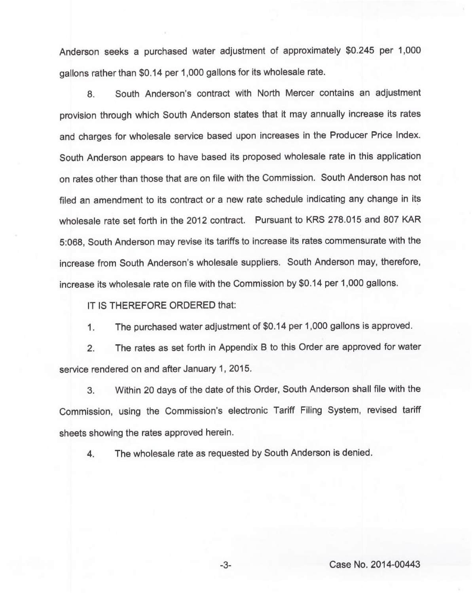Anderson seeks a purchased water adjustment of approximately \$0.245 per 1,000 gallons rather than \$0.14 per 1,000 gallons for its wholesale rate.

8. South Anderson's contract with North Mercer contains an adjustment provision through which South Anderson states that it may annually increase its rates and charges for wholesale service based upon increases in the Producer Price Index. South Anderson appears to have based its proposed wholesale rate in this application on rates other than those that are on file with the Commission. South Anderson has not filed an amendment to its contract or a new rate schedule indicating any change in its wholesale rate set forth in the 2012 contract. Pursuant to KRS 278.015 and 807 KAR 5:068, South Anderson may revise its tariffs to increase its rates commensurate with the increase from South Anderson's wholesale suppliers. South Anderson may, therefore, increase its wholesale rate on file with the Commission by \$0.14 per 1,000 gallons.

IT IS THEREFORE ORDERED that:

1. The purchased water adjustment of \$0.14 per 1,000 gallons is approved.

2. The rates as set forth in Appendix B to this Order are approved for water service rendered on and after January 1, 2015.

3. Within 20 days of the date of this Order, South Anderson shall file with the Commission, using the Commission's electronic Tariff Filing System, revised tariff sheets showing the rates approved herein.

4. The wholesale rate as requested by South Anderson is denied.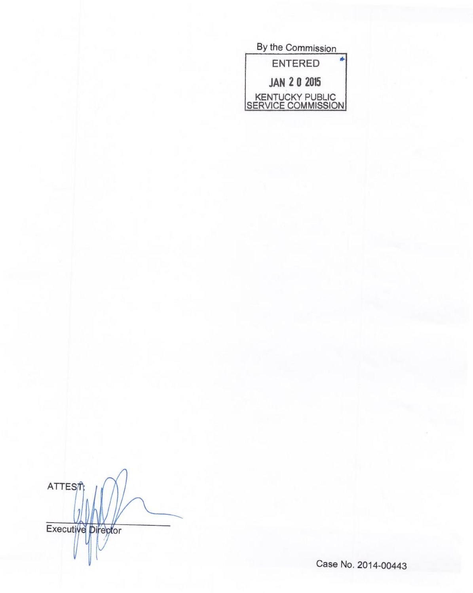| By the Commission                     |  |  |
|---------------------------------------|--|--|
| <b>ENTERED</b>                        |  |  |
| <b>JAN 2 0 2015</b>                   |  |  |
| KENTUCKY PUBLIC<br>SERVICE COMMISSION |  |  |

ATTEST Executive pireptor

Case No. 2014 00443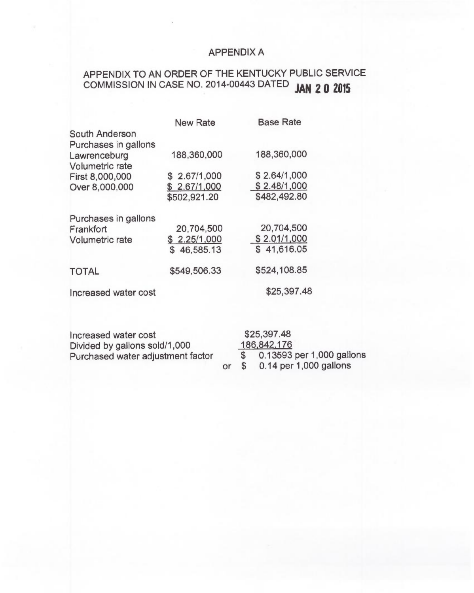## APPENDIX A

# APPENDIX TO AN ORDER OF THE KENTUCKY PUBLIC SERVICE COMMISSION IN CASE NO. 2014-00443 DATED JAN 2 0 2015

|                        | <b>New Rate</b> | <b>Base Rate</b> |
|------------------------|-----------------|------------------|
| South Anderson         |                 |                  |
| Purchases in gallons   |                 |                  |
| Lawrenceburg           | 188,360,000     | 188,360,000      |
| Volumetric rate        |                 |                  |
| First 8,000,000        | \$2.67/1,000    | \$2.64/1,000     |
| Over 8,000,000         | \$ 2.67/1,000   | \$2.48/1,000     |
|                        | \$502,921.20    | \$482,492.80     |
| Purchases in gallons   |                 |                  |
| Frankfort              | 20,704,500      | 20,704,500       |
| <b>Volumetric rate</b> | \$2.25/1,000    | \$2.01/1,000     |
|                        | \$46,585.13     | \$41,616.05      |
| <b>TOTAL</b>           | \$549,506.33    | \$524,108.85     |
| Increased water cost   |                 | \$25,397.48      |
|                        |                 |                  |

Increased water cost \$25,397.48<br>Divided by gallons sold/1,000 186,842,176 Divided by gallons sold/1,000  $\frac{18}{8}$ <br>Purchased water adiustment factor  $\frac{18}{8}$ Purchased water adjustment factor  $\frac{1}{3}$ 

0.13593 per 1,000 gallons<br>0.14 per 1,000 gallons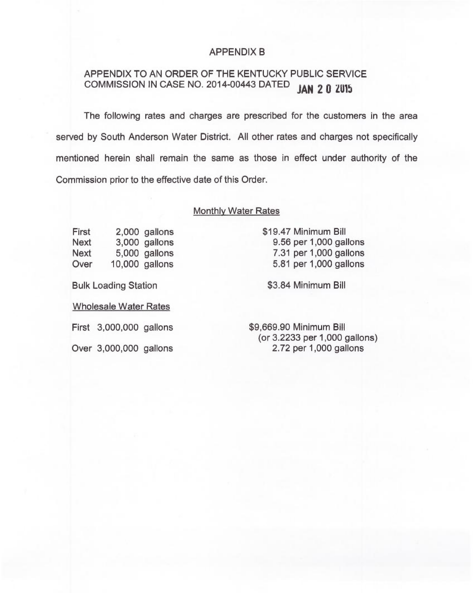### APPENDIX B

### APPENDIX TO AN ORDER OF THE KENTUCKY PUBLIC SERVICE COMMISSION IN CASE NO. 2014-00443 DATED **JAN 2 0 2015**

The following rates and charges are prescribed for the customers in the area served by South Anderson Water District. All other rates and charges not specifically mentioned herein shall remain the same as those in effect under authority of the Commission prior to the effective date of this Order.

### Monthly Water Rates

First 2,000 gallons<br>Next 3.000 gallons Next 3,000 gallons<br>Next 5,000 gallons Next 5,000 gallons<br>Over 10.000 gallons  $10,000$  gallons

Bulk Loading Station

Wholesale Water Rates

First 3,000,000 gallons

Over 3,000,000 gallons

\$19.47 Minimum Bill 9.56 per 1,000 gallons 7.31 per 1,000 gallons 5.81 per 1,000 gallons

\$3.84 Minimum Bill

\$9,669.90 Minimum Bill (or 3.2233 per 1,000 gallons) 2.72 per 1,000 gallons